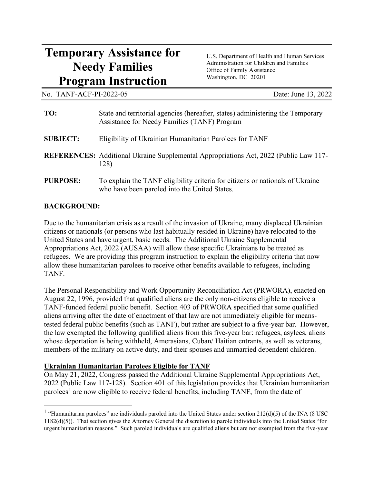# **Temporary Assistance for** U.S. Department of Health and Human Services **Needy Families** Administration for Children and Families **Needy Families** Office of Family Assistance **Program Instruction** Washington, DC 20201

No. TANF-ACF-PI-2022-05

Date: June 13, 2022

| TO:             | State and territorial agencies (hereafter, states) administering the Temporary<br>Assistance for Needy Families (TANF) Program |
|-----------------|--------------------------------------------------------------------------------------------------------------------------------|
| <b>SUBJECT:</b> | Eligibility of Ukrainian Humanitarian Parolees for TANF                                                                        |
|                 | <b>REFERENCES:</b> Additional Ukraine Supplemental Appropriations Act, 2022 (Public Law 117-<br>128)                           |
| <b>PURPOSE:</b> | To explain the TANF eligibility criteria for citizens or nationals of Ukraine<br>who have been paroled into the United States. |

#### **BACKGROUND:**

 Due to the humanitarian crisis as a result of the invasion of Ukraine, many displaced Ukrainian citizens or nationals (or persons who last habitually resided in Ukraine) have relocated to the United States and have urgent, basic needs. The Additional Ukraine Supplemental Appropriations Act, 2022 (AUSAA) will allow these specific Ukrainians to be treated as refugees. We are providing this program instruction to explain the eligibility criteria that now allow these humanitarian parolees to receive other benefits available to refugees, including TANF.

 tested federal public benefits (such as TANF), but rather are subject to a five-year bar. However, The Personal Responsibility and Work Opportunity Reconciliation Act (PRWORA), enacted on August 22, 1996, provided that qualified aliens are the only non-citizens eligible to receive a TANF-funded federal public benefit. Section 403 of PRWORA specified that some qualified aliens arriving after the date of enactment of that law are not immediately eligible for meansthe law exempted the following qualified aliens from this five-year bar: refugees, asylees, aliens whose deportation is being withheld, Amerasians, Cuban/ Haitian entrants, as well as veterans, members of the military on active duty, and their spouses and unmarried dependent children.

### **Ukrainian Humanitarian Parolees Eligible for TANF**

 2022 (Public Law 117-128). Section 401 of this legislation provides that Ukrainian humanitarian parolees<sup>[1](#page-0-0)</sup> are now eligible to receive federal benefits, including TANF, from the date of On May 21, 2022, Congress passed the Additional Ukraine Supplemental Appropriations Act,

<span id="page-0-0"></span> urgent humanitarian reasons." Such paroled individuals are qualified aliens but are not exempted from the five-year <sup>1</sup> "Humanitarian parolees" are individuals paroled into the United States under section  $212(d)(5)$  of the INA (8 USC 1182(d)(5)). That section gives the Attorney General the discretion to parole individuals into the United States "for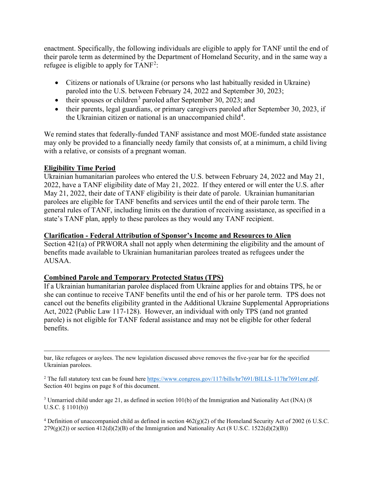enactment. Specifically, the following individuals are eligible to apply for TANF until the end of their parole term as determined by the Department of Homeland Security, and in the same way a refugee is eligible to apply for  $TANF^2$  $TANF^2$ :

- • Citizens or nationals of Ukraine (or persons who last habitually resided in Ukraine) paroled into the U.S. between February 24, 2022 and September 30, 2023;
- their spouses or children<sup>[3](#page-1-1)</sup> paroled after September 30, 2023; and
- the Ukrainian citizen or national is an unaccompanied child<sup>4</sup>. • their parents, legal guardians, or primary caregivers paroled after September 30, 2023, if

. We remind states that federally-funded TANF assistance and most MOE-funded state assistance may only be provided to a financially needy family that consists of, at a minimum, a child living with a relative, or consists of a pregnant woman.

#### **Eligibility Time Period**

 2022, have a TANF eligibility date of May 21, 2022. If they entered or will enter the U.S. after May 21, 2022, their date of TANF eligibility is their date of parole. Ukrainian humanitarian state's TANF plan, apply to these parolees as they would any TANF recipient. Ukrainian humanitarian parolees who entered the U.S. between February 24, 2022 and May 21, parolees are eligible for TANF benefits and services until the end of their parole term. The general rules of TANF, including limits on the duration of receiving assistance, as specified in a

#### **Clarification - Federal Attribution of Sponsor's Income and Resources to Alien**

Section 421(a) of PRWORA shall not apply when determining the eligibility and the amount of benefits made available to Ukrainian humanitarian parolees treated as refugees under the AUSAA.

#### **Combined Parole and Temporary Protected Status (TPS)**

 she can continue to receive TANF benefits until the end of his or her parole term. TPS does not If a Ukrainian humanitarian parolee displaced from Ukraine applies for and obtains TPS, he or cancel out the benefits eligibility granted in the Additional Ukraine Supplemental Appropriations Act, 2022 (Public Law 117-128). However, an individual with only TPS (and not granted parole) is not eligible for TANF federal assistance and may not be eligible for other federal benefits.

Ukrainian parolees. bar, like refugees or asylees. The new legislation discussed above removes the five-year bar for the specified

<span id="page-1-0"></span>Section 401 begins on page 8 of this document. <sup>2</sup> The full statutory text can be found here [https://www.congress.gov/117/bills/hr7691/BILLS-117hr7691enr.pdf.](https://www.congress.gov/117/bills/hr7691/BILLS-117hr7691enr.pdf)

<span id="page-1-1"></span><sup>3</sup> Unmarried child under age 21, as defined in section 101(b) of the Immigration and Nationality Act (INA) (8 U.S.C. § 1101(b))

<span id="page-1-2"></span><sup>4</sup> Definition of unaccompanied child as defined in section  $462(g)(2)$  of the Homeland Security Act of 2002 (6 U.S.C.  $279(g)(2)$ ) or section  $412(d)(2)(B)$  of the Immigration and Nationality Act (8 U.S.C. 1522(d)(2)(B))